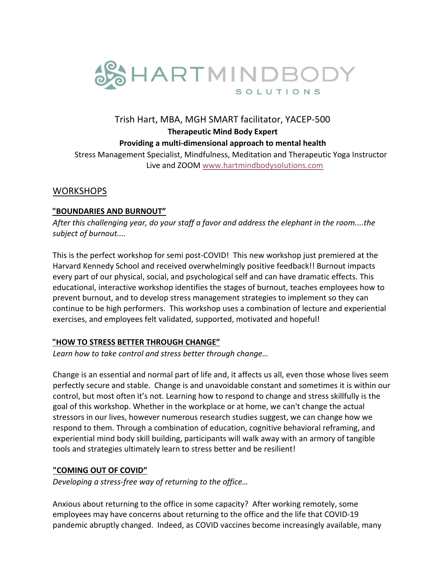

# Trish Hart, MBA, MGH SMART facilitator, YACEP-500 **Therapeutic Mind Body Expert Providing a multi-dimensional approach to mental health**  Stress Management Specialist, Mindfulness, Meditation and Therapeutic Yoga Instructor Live and ZOOM www.hartmindbodysolutions.com

### **WORKSHOPS**

#### **"BOUNDARIES AND BURNOUT"**

*After this challenging year, do your staff a favor and address the elephant in the room....the subject of burnout....* 

This is the perfect workshop for semi post-COVID! This new workshop just premiered at the Harvard Kennedy School and received overwhelmingly positive feedback!! Burnout impacts every part of our physical, social, and psychological self and can have dramatic effects. This educational, interactive workshop identifies the stages of burnout, teaches employees how to prevent burnout, and to develop stress management strategies to implement so they can continue to be high performers. This workshop uses a combination of lecture and experiential exercises, and employees felt validated, supported, motivated and hopeful!

#### **"HOW TO STRESS BETTER THROUGH CHANGE"**

*Learn how to take control and stress better through change…*

Change is an essential and normal part of life and, it affects us all, even those whose lives seem perfectly secure and stable. Change is and unavoidable constant and sometimes it is within our control, but most often it's not. Learning how to respond to change and stress skillfully is the goal of this workshop. Whether in the workplace or at home, we can't change the actual stressors in our lives, however numerous research studies suggest, we can change how we respond to them. Through a combination of education, cognitive behavioral reframing, and experiential mind body skill building, participants will walk away with an armory of tangible tools and strategies ultimately learn to stress better and be resilient!

#### **"COMING OUT OF COVID"**

*Developing a stress-free way of returning to the office…* 

Anxious about returning to the office in some capacity? After working remotely, some employees may have concerns about returning to the office and the life that COVID-19 pandemic abruptly changed. Indeed, as COVID vaccines become increasingly available, many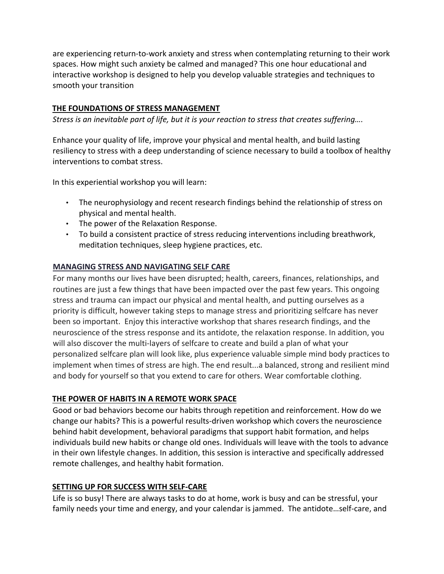are experiencing return-to-work anxiety and stress when contemplating returning to their work spaces. How might such anxiety be calmed and managed? This one hour educational and interactive workshop is designed to help you develop valuable strategies and techniques to smooth your transition

#### **THE FOUNDATIONS OF STRESS MANAGEMENT**

*Stress is an inevitable part of life, but it is your reaction to stress that creates suffering….* 

Enhance your quality of life, improve your physical and mental health, and build lasting resiliency to stress with a deep understanding of science necessary to build a toolbox of healthy interventions to combat stress.

In this experiential workshop you will learn:

- The neurophysiology and recent research findings behind the relationship of stress on physical and mental health.
- The power of the Relaxation Response.
- To build a consistent practice of stress reducing interventions including breathwork, meditation techniques, sleep hygiene practices, etc.

### **MANAGING STRESS AND NAVIGATING SELF CARE**

For many months our lives have been disrupted; health, careers, finances, relationships, and routines are just a few things that have been impacted over the past few years. This ongoing stress and trauma can impact our physical and mental health, and putting ourselves as a priority is difficult, however taking steps to manage stress and prioritizing selfcare has never been so important. Enjoy this interactive workshop that shares research findings, and the neuroscience of the stress response and its antidote, the relaxation response. In addition, you will also discover the multi-layers of selfcare to create and build a plan of what your personalized selfcare plan will look like, plus experience valuable simple mind body practices to implement when times of stress are high. The end result...a balanced, strong and resilient mind and body for yourself so that you extend to care for others. Wear comfortable clothing.

## **THE POWER OF HABITS IN A REMOTE WORK SPACE**

Good or bad behaviors become our habits through repetition and reinforcement. How do we change our habits? This is a powerful results-driven workshop which covers the neuroscience behind habit development, behavioral paradigms that support habit formation, and helps individuals build new habits or change old ones. Individuals will leave with the tools to advance in their own lifestyle changes. In addition, this session is interactive and specifically addressed remote challenges, and healthy habit formation.

#### **SETTING UP FOR SUCCESS WITH SELF-CARE**

Life is so busy! There are always tasks to do at home, work is busy and can be stressful, your family needs your time and energy, and your calendar is jammed. The antidote…self-care, and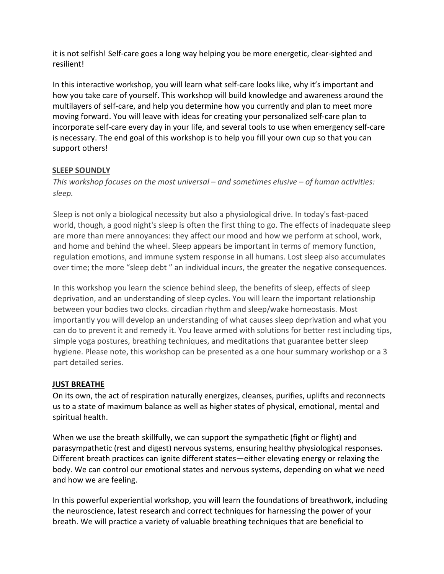it is not selfish! Self-care goes a long way helping you be more energetic, clear-sighted and resilient!

In this interactive workshop, you will learn what self-care looks like, why it's important and how you take care of yourself. This workshop will build knowledge and awareness around the multilayers of self-care, and help you determine how you currently and plan to meet more moving forward. You will leave with ideas for creating your personalized self-care plan to incorporate self-care every day in your life, and several tools to use when emergency self-care is necessary. The end goal of this workshop is to help you fill your own cup so that you can support others!

#### **SLEEP SOUNDLY**

*This workshop focuses on the most universal – and sometimes elusive – of human activities: sleep.* 

Sleep is not only a biological necessity but also a physiological drive. In today's fast-paced world, though, a good night's sleep is often the first thing to go. The effects of inadequate sleep are more than mere annoyances: they affect our mood and how we perform at school, work, and home and behind the wheel. Sleep appears be important in terms of memory function, regulation emotions, and immune system response in all humans. Lost sleep also accumulates over time; the more "sleep debt " an individual incurs, the greater the negative consequences.

In this workshop you learn the science behind sleep, the benefits of sleep, effects of sleep deprivation, and an understanding of sleep cycles. You will learn the important relationship between your bodies two clocks. circadian rhythm and sleep/wake homeostasis. Most importantly you will develop an understanding of what causes sleep deprivation and what you can do to prevent it and remedy it. You leave armed with solutions for better rest including tips, simple yoga postures, breathing techniques, and meditations that guarantee better sleep hygiene. Please note, this workshop can be presented as a one hour summary workshop or a 3 part detailed series.

## **JUST BREATHE**

On its own, the act of respiration naturally energizes, cleanses, purifies, uplifts and reconnects us to a state of maximum balance as well as higher states of physical, emotional, mental and spiritual health.

When we use the breath skillfully, we can support the sympathetic (fight or flight) and parasympathetic (rest and digest) nervous systems, ensuring healthy physiological responses. Different breath practices can ignite different states—either elevating energy or relaxing the body. We can control our emotional states and nervous systems, depending on what we need and how we are feeling.

In this powerful experiential workshop, you will learn the foundations of breathwork, including the neuroscience, latest research and correct techniques for harnessing the power of your breath. We will practice a variety of valuable breathing techniques that are beneficial to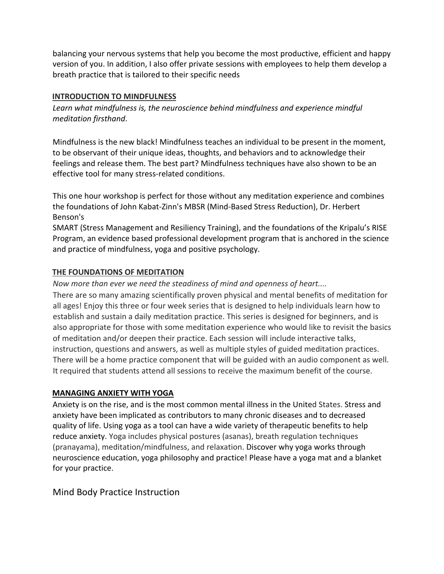balancing your nervous systems that help you become the most productive, efficient and happy version of you. In addition, I also offer private sessions with employees to help them develop a breath practice that is tailored to their specific needs

#### **INTRODUCTION TO MINDFULNESS**

*Learn what mindfulness is, the neuroscience behind mindfulness and experience mindful meditation firsthand*.

Mindfulness is the new black! Mindfulness teaches an individual to be present in the moment, to be observant of their unique ideas, thoughts, and behaviors and to acknowledge their feelings and release them. The best part? Mindfulness techniques have also shown to be an effective tool for many stress-related conditions.

This one hour workshop is perfect for those without any meditation experience and combines the foundations of John Kabat-Zinn's MBSR (Mind-Based Stress Reduction), Dr. Herbert Benson's

SMART (Stress Management and Resiliency Training), and the foundations of the Kripalu's RISE Program, an evidence based professional development program that is anchored in the science and practice of mindfulness, yoga and positive psychology.

### **THE FOUNDATIONS OF MEDITATION**

*Now more than ever we need the steadiness of mind and openness of heart....* 

There are so many amazing scientifically proven physical and mental benefits of meditation for all ages! Enjoy this three or four week series that is designed to help individuals learn how to establish and sustain a daily meditation practice. This series is designed for beginners, and is also appropriate for those with some meditation experience who would like to revisit the basics of meditation and/or deepen their practice. Each session will include interactive talks, instruction, questions and answers, as well as multiple styles of guided meditation practices. There will be a home practice component that will be guided with an audio component as well. It required that students attend all sessions to receive the maximum benefit of the course.

## **MANAGING ANXIETY WITH YOGA**

Anxiety is on the rise, and is the most common mental illness in the United States. Stress and anxiety have been implicated as contributors to many chronic diseases and to decreased quality of life. Using yoga as a tool can have a wide variety of therapeutic benefits to help reduce anxiety. Yoga includes physical postures (asanas), breath regulation techniques (pranayama), meditation/mindfulness, and relaxation. Discover why yoga works through neuroscience education, yoga philosophy and practice! Please have a yoga mat and a blanket for your practice.

## Mind Body Practice Instruction